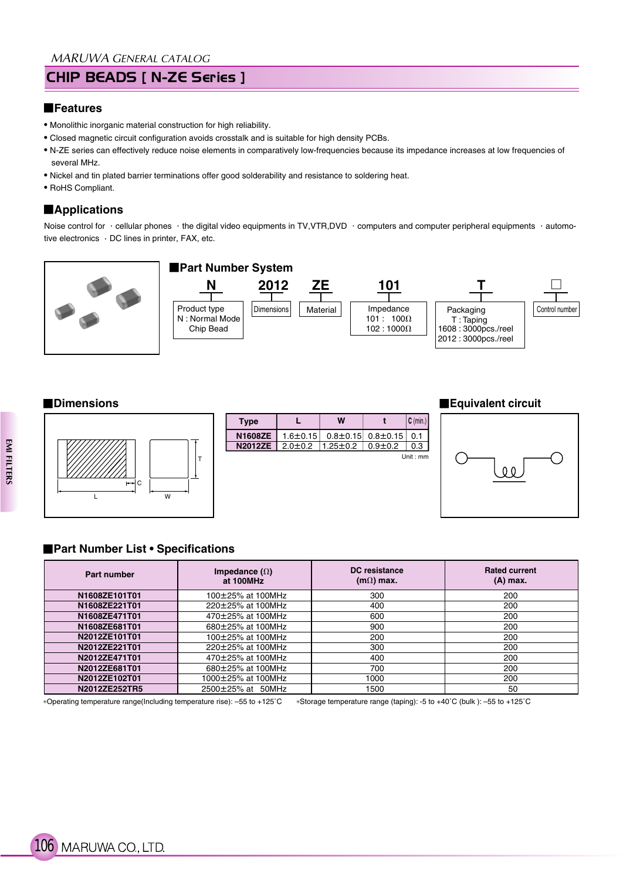# CHIP BEADS [ N-ZE Series ]

#### **Features**

- Monolithic inorganic material construction for high reliability.
- Closed magnetic circuit configuration avoids crosstalk and is suitable for high density PCBs.
- N-ZE series can effectively reduce noise elements in comparatively low-frequencies because its impedance increases at low frequencies of several MHz.
- Nickel and tin plated barrier terminations offer good solderability and resistance to soldering heat.
- RoHS Compliant.

## **Applications**

Noise control for  $\cdot$  cellular phones  $\cdot$  the digital video equipments in TV,VTR,DVD  $\cdot$  computers and computer peripheral equipments  $\cdot$  automotive electronics  $\cdot$  DC lines in printer, FAX, etc.





| <b>Type</b>    |                | W              |                               | $ C \text{ (min.)} $ |
|----------------|----------------|----------------|-------------------------------|----------------------|
| N1608ZE        | $1.6 \pm 0.15$ |                | $0.8 \pm 0.15$ 0.8 $\pm 0.15$ | 0.1                  |
| <b>N2012ZE</b> | $2.0 \pm 0.2$  | $1.25 \pm 0.2$ | $0.9 + 0.2$                   | $0.3\;$ I            |
|                |                |                |                               | Unit: $mm$           |

#### **Dimensions Equivalent circuit**



### **Part Number List • Specifications**

| Part number   | Impedance $(\Omega)$<br>at 100MHz | DC resistance<br>$(m\Omega)$ max. | <b>Rated current</b><br>$(A)$ max. |
|---------------|-----------------------------------|-----------------------------------|------------------------------------|
| N1608ZE101T01 | 100±25% at 100MHz                 | 300                               | 200                                |
| N1608ZE221T01 | 220±25% at 100MHz                 | 400                               | 200                                |
| N1608ZE471T01 | 470±25% at 100MHz                 | 600                               | 200                                |
| N1608ZE681T01 | 680±25% at 100MHz                 | 900                               | 200                                |
| N2012ZE101T01 | 100±25% at 100MHz                 | 200                               | 200                                |
| N2012ZE221T01 | 220±25% at 100MHz                 | 300                               | 200                                |
| N2012ZE471T01 | 470±25% at 100MHz                 | 400                               | 200                                |
| N2012ZE681T01 | 680±25% at 100MHz                 | 700                               | 200                                |
| N2012ZE102T01 | 1000±25% at 100MHz                | 1000                              | 200                                |
| N2012ZE252TR5 | 2500±25% at 50MHz                 | 1500                              | 50                                 |

Operating temperature range(Including temperature rise): –55 to +125˚C Storage temperature range (taping): -5 to +40˚C (bulk ): –55 to +125˚C